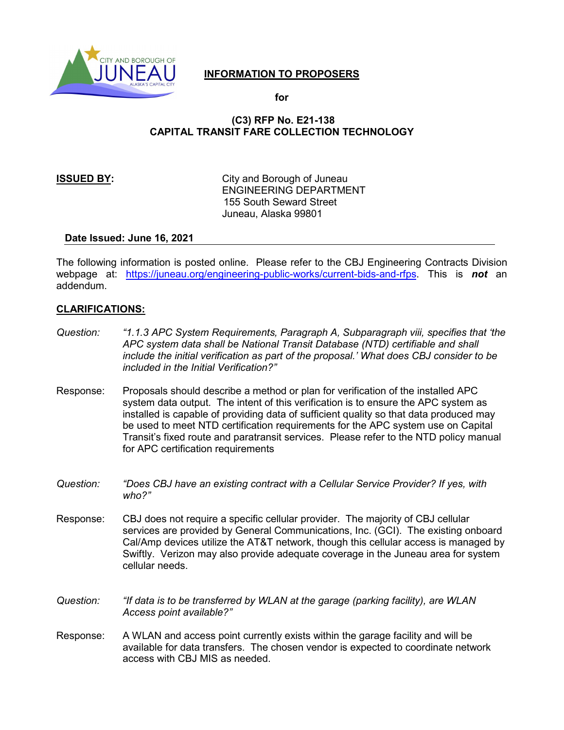

# **INFORMATION TO PROPOSERS**

**for**

## **(C3) RFP No. E21-138 CAPITAL TRANSIT FARE COLLECTION TECHNOLOGY**

**ISSUED BY:** City and Borough of Juneau ENGINEERING DEPARTMENT 155 South Seward Street Juneau, Alaska 99801

### **Date Issued: June 16, 2021**

The following information is posted online. Please refer to the CBJ Engineering Contracts Division webpage at: [https://juneau.org/engineering-public-works/current-bids-and-rfps.](https://juneau.org/engineering-public-works/current-bids-and-rfps) This is *not* an addendum.

## **CLARIFICATIONS:**

- *Question: "1.1.3 APC System Requirements, Paragraph A, Subparagraph viii, specifies that 'the APC system data shall be National Transit Database (NTD) certifiable and shall include the initial verification as part of the proposal.' What does CBJ consider to be included in the Initial Verification?"*
- Response: Proposals should describe a method or plan for verification of the installed APC system data output. The intent of this verification is to ensure the APC system as installed is capable of providing data of sufficient quality so that data produced may be used to meet NTD certification requirements for the APC system use on Capital Transit's fixed route and paratransit services. Please refer to the NTD policy manual for APC certification requirements
- *Question: "Does CBJ have an existing contract with a Cellular Service Provider? If yes, with who?"*
- Response: CBJ does not require a specific cellular provider. The majority of CBJ cellular services are provided by General Communications, Inc. (GCI). The existing onboard Cal/Amp devices utilize the AT&T network, though this cellular access is managed by Swiftly. Verizon may also provide adequate coverage in the Juneau area for system cellular needs.
- *Question: "If data is to be transferred by WLAN at the garage (parking facility), are WLAN Access point available?"*
- Response: A WLAN and access point currently exists within the garage facility and will be available for data transfers. The chosen vendor is expected to coordinate network access with CBJ MIS as needed.